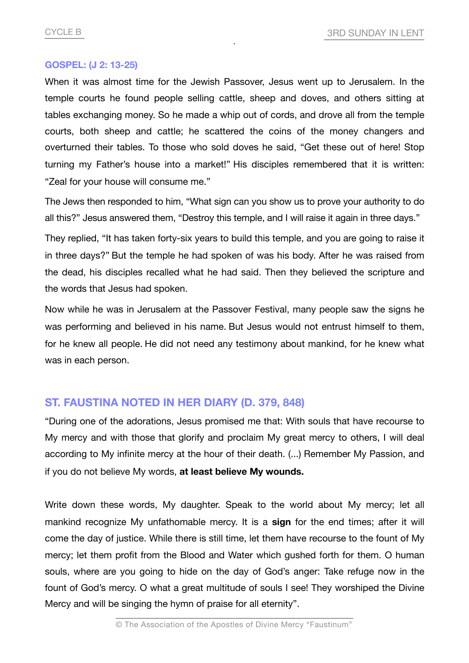## **GOSPEL: (J 2: 13-25)**

When it was almost time for the Jewish Passover, Jesus went up to Jerusalem. In the temple courts he found people selling cattle, sheep and doves, and others sitting at tables exchanging money. So he made a whip out of cords, and drove all from the temple courts, both sheep and cattle; he scattered the coins of the money changers and overturned their tables. To those who sold doves he said, "Get these out of here! Stop turning my Father's house into a market!" His disciples remembered that it is written: "Zeal for your house will consume me."

The Jews then responded to him, "What sign can you show us to prove your authority to do all this?" Jesus answered them, "Destroy this temple, and I will raise it again in three days."

They replied, "It has taken forty-six years to build this temple, and you are going to raise it in three days?" But the temple he had spoken of was his body. After he was raised from the dead, his disciples recalled what he had said. Then they believed the scripture and the words that Jesus had spoken.

Now while he was in Jerusalem at the Passover Festival, many people saw the signs he was performing and believed in his name. But Jesus would not entrust himself to them, for he knew all people. He did not need any testimony about mankind, for he knew what was in each person.

## **ST. FAUSTINA NOTED IN HER DIARY (D. 379, 848)**

"During one of the adorations, Jesus promised me that: With souls that have recourse to My mercy and with those that glorify and proclaim My great mercy to others, I will deal according to My infinite mercy at the hour of their death. (...) Remember My Passion, and if you do not believe My words, **at least believe My wounds.**

Write down these words, My daughter. Speak to the world about My mercy; let all mankind recognize My unfathomable mercy. It is a **sign** for the end times; after it will come the day of justice. While there is still time, let them have recourse to the fount of My mercy; let them profit from the Blood and Water which gushed forth for them. O human souls, where are you going to hide on the day of God's anger: Take refuge now in the fount of God's mercy. O what a great multitude of souls I see! They worshiped the Divine Mercy and will be singing the hymn of praise for all eternity".